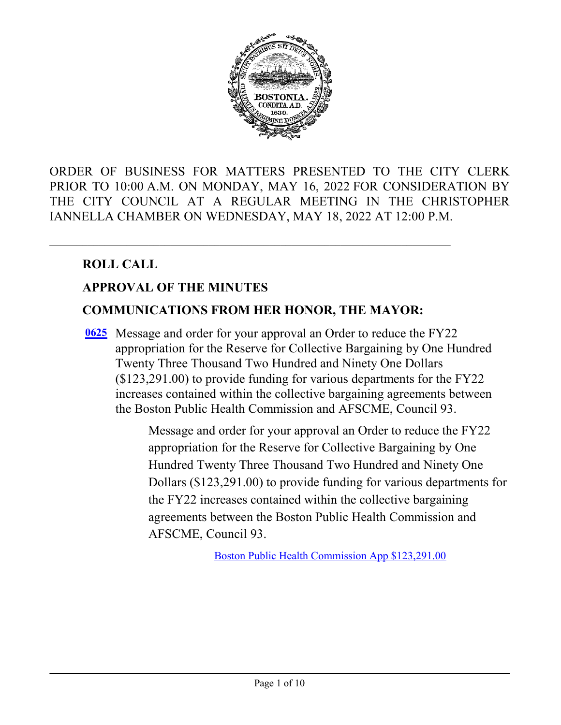

ORDER OF BUSINESS FOR MATTERS PRESENTED TO THE CITY CLERK PRIOR TO 10:00 A.M. ON MONDAY, MAY 16, 2022 FOR CONSIDERATION BY THE CITY COUNCIL AT A REGULAR MEETING IN THE CHRISTOPHER IANNELLA CHAMBER ON WEDNESDAY, MAY 18, 2022 AT 12:00 P.M.

# **ROLL CALL**

# **APPROVAL OF THE MINUTES**

#### **COMMUNICATIONS FROM HER HONOR, THE MAYOR:**

[0625](http://boston.legistar.com/gateway.aspx?m=l&id=/matter.aspx?key=5788) Message and order for your approval an Order to reduce the FY22 appropriation for the Reserve for Collective Bargaining by One Hundred Twenty Three Thousand Two Hundred and Ninety One Dollars (\$123,291.00) to provide funding for various departments for the FY22 increases contained within the collective bargaining agreements between the Boston Public Health Commission and AFSCME, Council 93.

> Message and order for your approval an Order to reduce the FY22 appropriation for the Reserve for Collective Bargaining by One Hundred Twenty Three Thousand Two Hundred and Ninety One Dollars (\$123,291.00) to provide funding for various departments for the FY22 increases contained within the collective bargaining agreements between the Boston Public Health Commission and AFSCME, Council 93.

> > [Boston Public Health Commission App \\$123,291.00](http://boston.legistar.com/gateway.aspx?M=F&ID=1c578bf1-183b-4db9-b11c-86fe9894e137.pdf)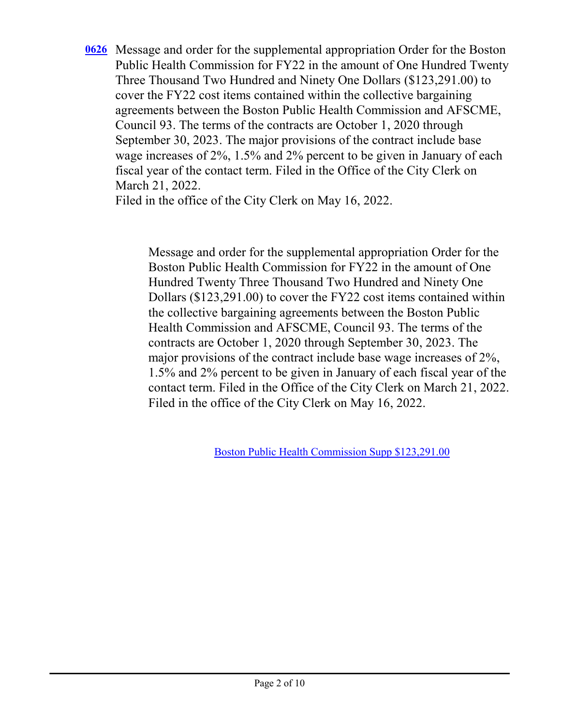Message and order for the supplemental appropriation Order for the Boston **[0626](http://boston.legistar.com/gateway.aspx?m=l&id=/matter.aspx?key=5789)** Public Health Commission for FY22 in the amount of One Hundred Twenty Three Thousand Two Hundred and Ninety One Dollars (\$123,291.00) to cover the FY22 cost items contained within the collective bargaining agreements between the Boston Public Health Commission and AFSCME, Council 93. The terms of the contracts are October 1, 2020 through September 30, 2023. The major provisions of the contract include base wage increases of 2%, 1.5% and 2% percent to be given in January of each fiscal year of the contact term. Filed in the Office of the City Clerk on March 21, 2022.

Filed in the office of the City Clerk on May 16, 2022.

Message and order for the supplemental appropriation Order for the Boston Public Health Commission for FY22 in the amount of One Hundred Twenty Three Thousand Two Hundred and Ninety One Dollars (\$123,291.00) to cover the FY22 cost items contained within the collective bargaining agreements between the Boston Public Health Commission and AFSCME, Council 93. The terms of the contracts are October 1, 2020 through September 30, 2023. The major provisions of the contract include base wage increases of 2%, 1.5% and 2% percent to be given in January of each fiscal year of the contact term. Filed in the Office of the City Clerk on March 21, 2022. Filed in the office of the City Clerk on May 16, 2022.

[Boston Public Health Commission Supp \\$123,291.00](http://boston.legistar.com/gateway.aspx?M=F&ID=fec3f855-10fb-48d9-99ae-77a255e3c032.pdf)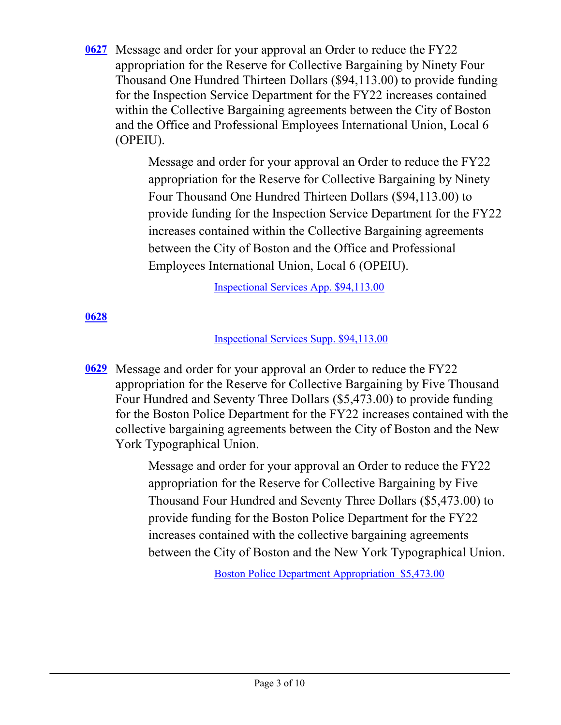[0627](http://boston.legistar.com/gateway.aspx?m=l&id=/matter.aspx?key=5790) Message and order for your approval an Order to reduce the FY22 appropriation for the Reserve for Collective Bargaining by Ninety Four Thousand One Hundred Thirteen Dollars (\$94,113.00) to provide funding for the Inspection Service Department for the FY22 increases contained within the Collective Bargaining agreements between the City of Boston and the Office and Professional Employees International Union, Local 6 (OPEIU).

> Message and order for your approval an Order to reduce the FY22 appropriation for the Reserve for Collective Bargaining by Ninety Four Thousand One Hundred Thirteen Dollars (\$94,113.00) to provide funding for the Inspection Service Department for the FY22 increases contained within the Collective Bargaining agreements between the City of Boston and the Office and Professional Employees International Union, Local 6 (OPEIU).

> > [Inspectional Services App. \\$94,113.00](http://boston.legistar.com/gateway.aspx?M=F&ID=54445025-4c4a-429f-b302-89c861c83574.pdf)

# **[0628](http://boston.legistar.com/gateway.aspx?m=l&id=/matter.aspx?key=5791)**

[Inspectional Services Supp. \\$94,113.00](http://boston.legistar.com/gateway.aspx?M=F&ID=253037ad-e8eb-4a06-937e-066634d4f4ec.pdf)

Message and order for your approval an Order to reduce the FY22 **[0629](http://boston.legistar.com/gateway.aspx?m=l&id=/matter.aspx?key=5792)** appropriation for the Reserve for Collective Bargaining by Five Thousand Four Hundred and Seventy Three Dollars (\$5,473.00) to provide funding for the Boston Police Department for the FY22 increases contained with the collective bargaining agreements between the City of Boston and the New York Typographical Union.

> Message and order for your approval an Order to reduce the FY22 appropriation for the Reserve for Collective Bargaining by Five Thousand Four Hundred and Seventy Three Dollars (\$5,473.00) to provide funding for the Boston Police Department for the FY22 increases contained with the collective bargaining agreements between the City of Boston and the New York Typographical Union.

> > [Boston Police Department Appropriation \\$5,473.00](http://boston.legistar.com/gateway.aspx?M=F&ID=a2df63de-7277-489b-b0b3-ee65b410f7fe.pdf)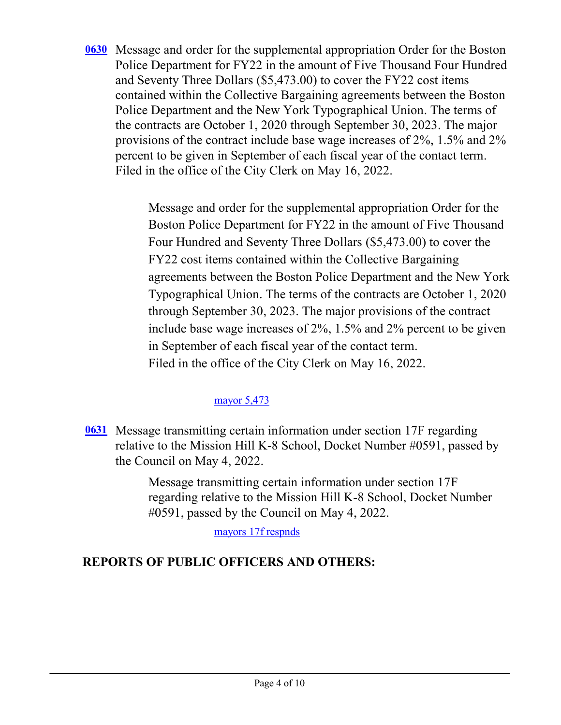[0630](http://boston.legistar.com/gateway.aspx?m=l&id=/matter.aspx?key=5793) Message and order for the supplemental appropriation Order for the Boston Police Department for FY22 in the amount of Five Thousand Four Hundred and Seventy Three Dollars (\$5,473.00) to cover the FY22 cost items contained within the Collective Bargaining agreements between the Boston Police Department and the New York Typographical Union. The terms of the contracts are October 1, 2020 through September 30, 2023. The major provisions of the contract include base wage increases of 2%, 1.5% and 2% percent to be given in September of each fiscal year of the contact term. Filed in the office of the City Clerk on May 16, 2022.

> Message and order for the supplemental appropriation Order for the Boston Police Department for FY22 in the amount of Five Thousand Four Hundred and Seventy Three Dollars (\$5,473.00) to cover the FY22 cost items contained within the Collective Bargaining agreements between the Boston Police Department and the New York Typographical Union. The terms of the contracts are October 1, 2020 through September 30, 2023. The major provisions of the contract include base wage increases of 2%, 1.5% and 2% percent to be given in September of each fiscal year of the contact term. Filed in the office of the City Clerk on May 16, 2022.

# [mayor 5,473](http://boston.legistar.com/gateway.aspx?M=F&ID=bc2e2318-cb4f-499f-8eac-1dad95f0bf65.pdf)

**[0631](http://boston.legistar.com/gateway.aspx?m=l&id=/matter.aspx?key=5810)** Message transmitting certain information under section 17F regarding relative to the Mission Hill K-8 School, Docket Number #0591, passed by the Council on May 4, 2022.

> Message transmitting certain information under section 17F regarding relative to the Mission Hill K-8 School, Docket Number #0591, passed by the Council on May 4, 2022.

> > [mayors 17f respnds](http://boston.legistar.com/gateway.aspx?M=F&ID=2104fb0f-651c-42fa-a1f5-66ef9ed4ee76.pdf)

# **REPORTS OF PUBLIC OFFICERS AND OTHERS:**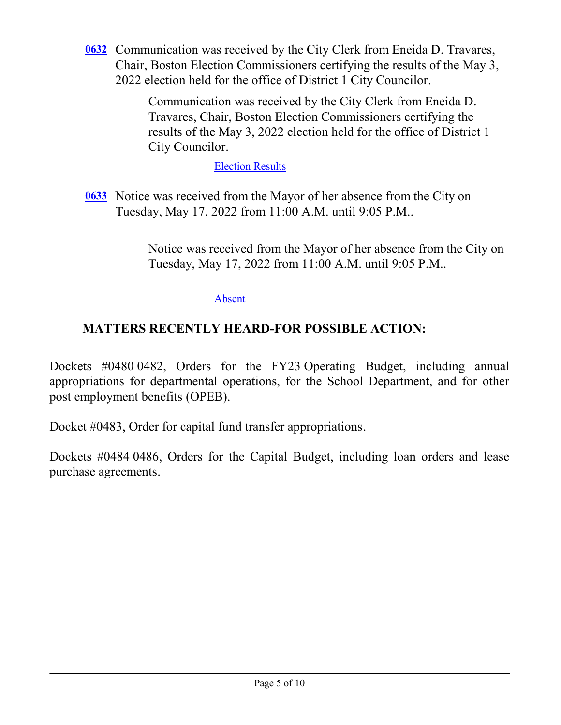[0632](http://boston.legistar.com/gateway.aspx?m=l&id=/matter.aspx?key=5812) Communication was received by the City Clerk from Eneida D. Travares, Chair, Boston Election Commissioners certifying the results of the May 3, 2022 election held for the office of District 1 City Councilor.

> Communication was received by the City Clerk from Eneida D. Travares, Chair, Boston Election Commissioners certifying the results of the May 3, 2022 election held for the office of District 1 City Councilor.

> > [Election Results](http://boston.legistar.com/gateway.aspx?M=F&ID=fce0043a-0763-4de2-a65f-99774147aa5c.pdf)

[0633](http://boston.legistar.com/gateway.aspx?m=l&id=/matter.aspx?key=5813) Notice was received from the Mayor of her absence from the City on Tuesday, May 17, 2022 from 11:00 A.M. until 9:05 P.M..

> Notice was received from the Mayor of her absence from the City on Tuesday, May 17, 2022 from 11:00 A.M. until 9:05 P.M..

> > [Absent](http://boston.legistar.com/gateway.aspx?M=F&ID=496f217c-452d-4239-b547-047ac13245dd.pdf)

# **MATTERS RECENTLY HEARD-FOR POSSIBLE ACTION:**

Dockets #0480 0482, Orders for the FY23 Operating Budget, including annual appropriations for departmental operations, for the School Department, and for other post employment benefits (OPEB).

Docket #0483, Order for capital fund transfer appropriations.

Dockets #0484 0486, Orders for the Capital Budget, including loan orders and lease purchase agreements.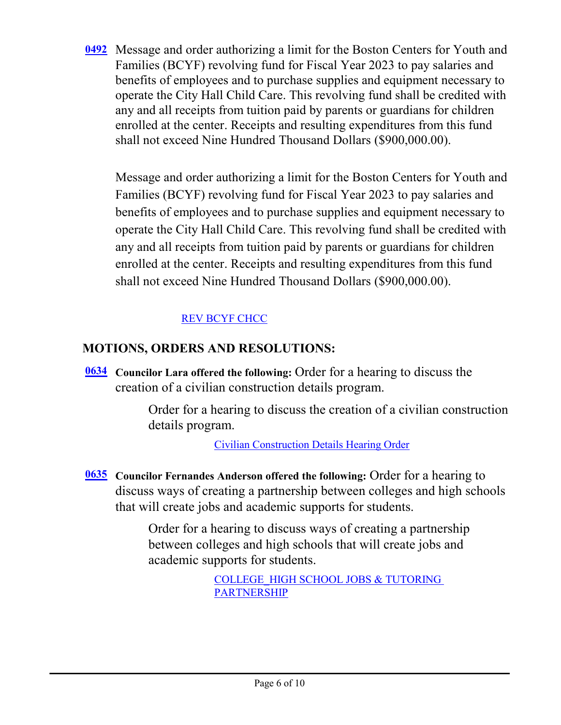[0492](http://boston.legistar.com/gateway.aspx?m=l&id=/matter.aspx?key=5616) Message and order authorizing a limit for the Boston Centers for Youth and Families (BCYF) revolving fund for Fiscal Year 2023 to pay salaries and benefits of employees and to purchase supplies and equipment necessary to operate the City Hall Child Care. This revolving fund shall be credited with any and all receipts from tuition paid by parents or guardians for children enrolled at the center. Receipts and resulting expenditures from this fund shall not exceed Nine Hundred Thousand Dollars (\$900,000.00).

Message and order authorizing a limit for the Boston Centers for Youth and Families (BCYF) revolving fund for Fiscal Year 2023 to pay salaries and benefits of employees and to purchase supplies and equipment necessary to operate the City Hall Child Care. This revolving fund shall be credited with any and all receipts from tuition paid by parents or guardians for children enrolled at the center. Receipts and resulting expenditures from this fund shall not exceed Nine Hundred Thousand Dollars (\$900,000.00).

#### [REV BCYF CHCC](http://boston.legistar.com/gateway.aspx?M=F&ID=31d3272a-833c-493d-9650-43d4523713dd.pdf)

# **MOTIONS, ORDERS AND RESOLUTIONS:**

**Councilor Lara offered the following: Order for a hearing to discuss the** creation of a civilian construction details program.

> Order for a hearing to discuss the creation of a civilian construction details program.

> > [Civilian Construction Details Hearing Order](http://boston.legistar.com/gateway.aspx?M=F&ID=528c2498-8879-405f-9f76-ce9f5c85ce84.pdf)

**Councilor Fernandes Anderson offered the following:** Order for a hearing to **[0635](http://boston.legistar.com/gateway.aspx?m=l&id=/matter.aspx?key=5795)** discuss ways of creating a partnership between colleges and high schools that will create jobs and academic supports for students.

> Order for a hearing to discuss ways of creating a partnership between colleges and high schools that will create jobs and academic supports for students.

> > [COLLEGE\\_HIGH SCHOOL JOBS & TUTORING](http://boston.legistar.com/gateway.aspx?M=F&ID=bbdb68bf-324b-40f6-8016-182ca6491216.pdf)  PARTNERSHIP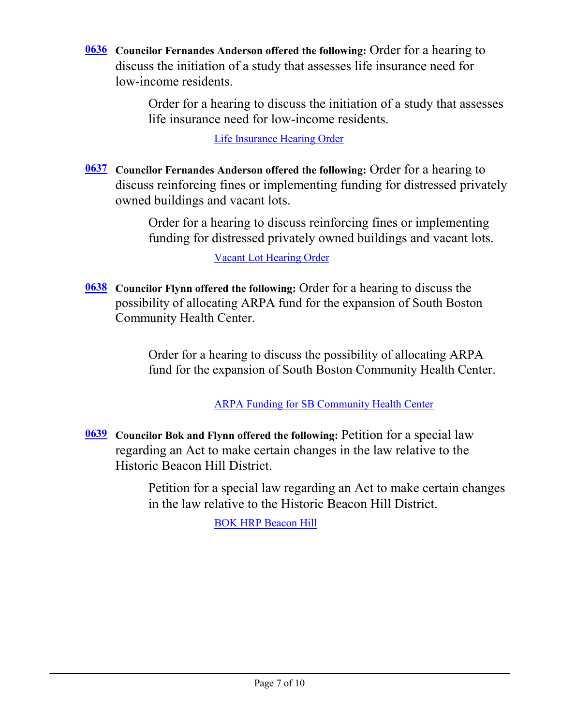**Councilor Fernandes Anderson offered the following:** Order for a hearing to **[0636](http://boston.legistar.com/gateway.aspx?m=l&id=/matter.aspx?key=5798)** discuss the initiation of a study that assesses life insurance need for low-income residents.

> Order for a hearing to discuss the initiation of a study that assesses life insurance need for low-income residents.

> > [Life Insurance Hearing Order](http://boston.legistar.com/gateway.aspx?M=F&ID=f70c54b7-3994-4fb8-bc4f-fcb4c24513f7.pdf)

**[0637](http://boston.legistar.com/gateway.aspx?m=l&id=/matter.aspx?key=5800)** Councilor Fernandes Anderson offered the following: Order for a hearing to discuss reinforcing fines or implementing funding for distressed privately owned buildings and vacant lots.

> Order for a hearing to discuss reinforcing fines or implementing funding for distressed privately owned buildings and vacant lots.

> > [Vacant Lot Hearing Order](http://boston.legistar.com/gateway.aspx?M=F&ID=3a3ed02c-6821-4fc9-9f4a-01569ecc535a.pdf)

**Councilor Flynn offered the following:** Order for a hearing to discuss the **[0638](http://boston.legistar.com/gateway.aspx?m=l&id=/matter.aspx?key=5801)** possibility of allocating ARPA fund for the expansion of South Boston Community Health Center.

> Order for a hearing to discuss the possibility of allocating ARPA fund for the expansion of South Boston Community Health Center.

> > [ARPA Funding for SB Community Health Center](http://boston.legistar.com/gateway.aspx?M=F&ID=988c104c-12f3-425e-a6f9-8b07102eebe3.pdf)

**Councilor Bok and Flynn offered the following:** Petition for a special law **[0639](http://boston.legistar.com/gateway.aspx?m=l&id=/matter.aspx?key=5802)** regarding an Act to make certain changes in the law relative to the Historic Beacon Hill District.

> Petition for a special law regarding an Act to make certain changes in the law relative to the Historic Beacon Hill District.

> > [BOK HRP Beacon Hill](http://boston.legistar.com/gateway.aspx?M=F&ID=b578070e-8885-4dfb-b78e-721242e163ac.pdf)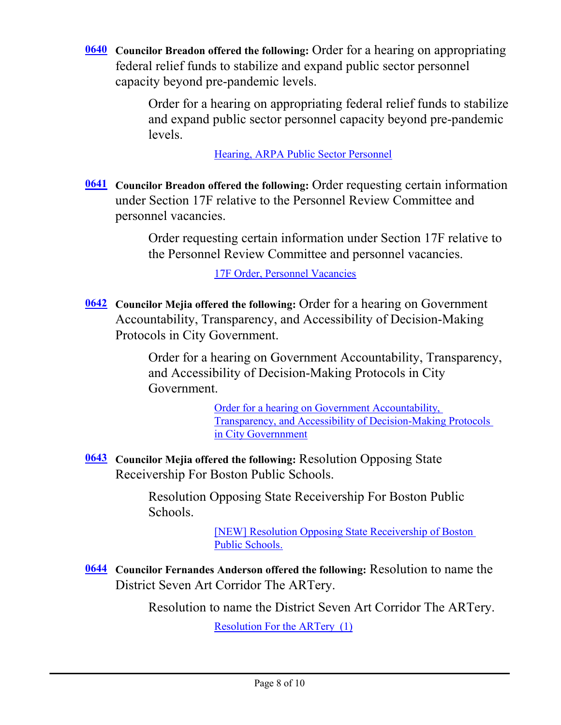**[0640](http://boston.legistar.com/gateway.aspx?m=l&id=/matter.aspx?key=5805)** Councilor Breadon offered the following: Order for a hearing on appropriating federal relief funds to stabilize and expand public sector personnel capacity beyond pre-pandemic levels.

> Order for a hearing on appropriating federal relief funds to stabilize and expand public sector personnel capacity beyond pre-pandemic levels.

> > [Hearing, ARPA Public Sector Personnel](http://boston.legistar.com/gateway.aspx?M=F&ID=0ba842c3-e5e2-4cd1-84f2-440ee6bc4ff1.pdf)

**[0641](http://boston.legistar.com/gateway.aspx?m=l&id=/matter.aspx?key=5787)** Councilor Breadon offered the following: Order requesting certain information under Section 17F relative to the Personnel Review Committee and personnel vacancies.

> Order requesting certain information under Section 17F relative to the Personnel Review Committee and personnel vacancies.

> > [17F Order, Personnel Vacancies](http://boston.legistar.com/gateway.aspx?M=F&ID=59ee0117-c61a-4f14-9c7e-8f07456922cb.pdf)

**Councilor Mejia offered the following:** Order for a hearing on Government **[0642](http://boston.legistar.com/gateway.aspx?m=l&id=/matter.aspx?key=5808)** Accountability, Transparency, and Accessibility of Decision-Making Protocols in City Government.

> Order for a hearing on Government Accountability, Transparency, and Accessibility of Decision-Making Protocols in City Government.

> > Order for a hearing on Government Accountability, [Transparency, and Accessibility of Decision-Making Protocols](http://boston.legistar.com/gateway.aspx?M=F&ID=7112677f-9015-4de2-b23b-6987c40d437a.pdf)  in City Governnment

[0643](http://boston.legistar.com/gateway.aspx?m=l&id=/matter.aspx?key=5804) Councilor Mejia offered the following: Resolution Opposing State Receivership For Boston Public Schools.

> Resolution Opposing State Receivership For Boston Public Schools.

> > [\[NEW\] Resolution Opposing State Receivership of Boston](http://boston.legistar.com/gateway.aspx?M=F&ID=0472efa2-f3b1-4e52-ad17-55ea92b32882.pdf)  Public Schools.

**Councilor Fernandes Anderson offered the following:** Resolution to name the **[0644](http://boston.legistar.com/gateway.aspx?m=l&id=/matter.aspx?key=5794)** District Seven Art Corridor The ARTery.

Resolution to name the District Seven Art Corridor The ARTery.

[Resolution For the ARTery \(1\)](http://boston.legistar.com/gateway.aspx?M=F&ID=cbf914ed-bb8d-4e19-bf62-615cbffc67f4.pdf)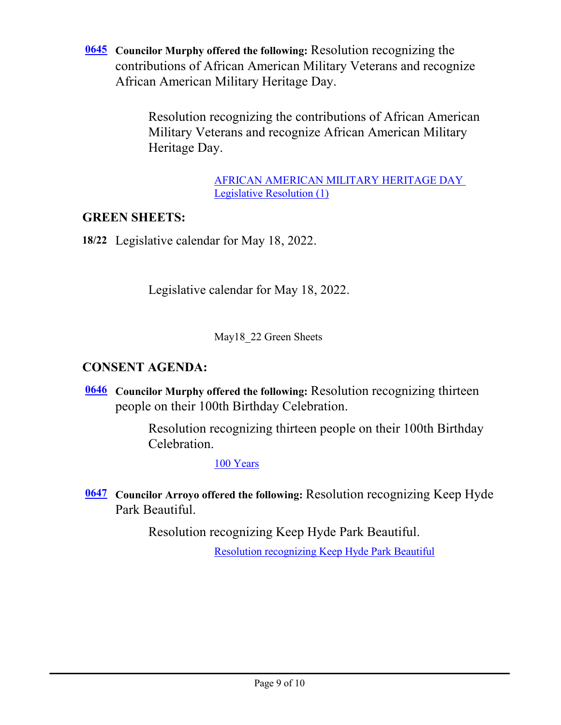**<u>[0645](http://boston.legistar.com/gateway.aspx?m=l&id=/matter.aspx?key=5799)</u>** Councilor Murphy offered the following: Resolution recognizing the contributions of African American Military Veterans and recognize African American Military Heritage Day.

> Resolution recognizing the contributions of African American Military Veterans and recognize African American Military Heritage Day.

> > [AFRICAN AMERICAN MILITARY HERITAGE DAY](http://boston.legistar.com/gateway.aspx?M=F&ID=9565117e-85c5-43e8-b5c7-10db8db0d44e.pdf)  Legislative Resolution (1)

# **GREEN SHEETS:**

**18/22** Legislative calendar for May 18, 2022.

Legislative calendar for May 18, 2022.

May18\_22 Green Sheets

# **CONSENT AGENDA:**

**[0646](http://boston.legistar.com/gateway.aspx?m=l&id=/matter.aspx?key=5771)** Councilor Murphy offered the following: Resolution recognizing thirteen people on their 100th Birthday Celebration.

> Resolution recognizing thirteen people on their 100th Birthday Celebration.

> > [100 Years](http://boston.legistar.com/gateway.aspx?M=F&ID=065f4756-c2bf-4ca7-86b3-26f2d2a74c2c.pdf)

**Councilor Arroyo offered the following:** Resolution recognizing Keep Hyde **[0647](http://boston.legistar.com/gateway.aspx?m=l&id=/matter.aspx?key=5781)** Park Beautiful.

Resolution recognizing Keep Hyde Park Beautiful.

[Resolution recognizing Keep Hyde Park Beautiful](http://boston.legistar.com/gateway.aspx?M=F&ID=4b11b567-b6d3-4721-aee7-c61688e0d399.pdf)